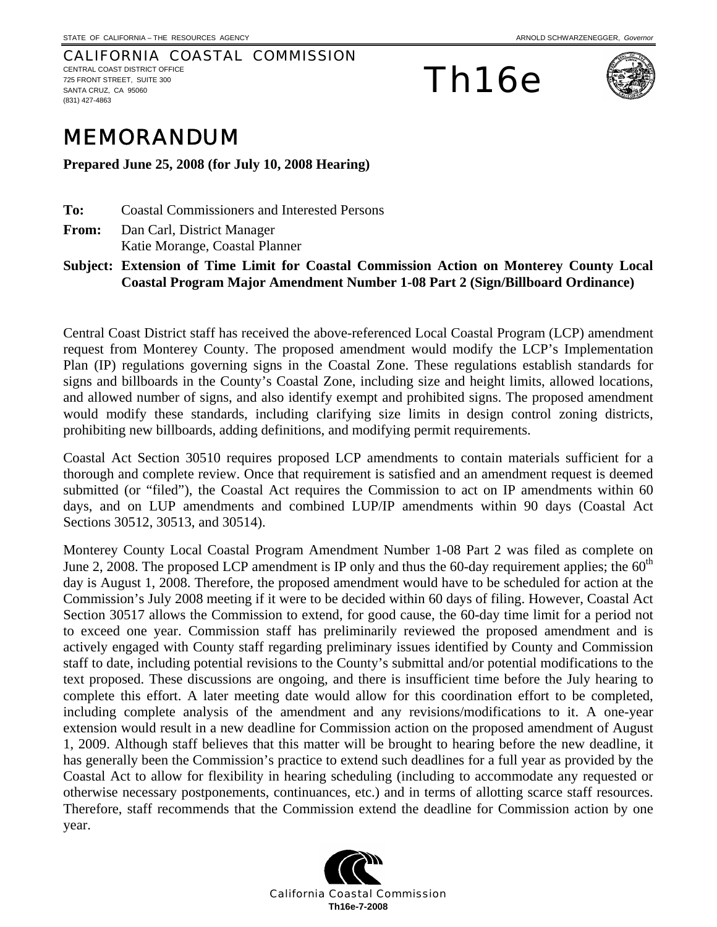CALIFORNIA COASTAL COMMISSION CENTRAL COAST DISTRICT OFFICE 725 FRONT STREET, SUITE 300 SANTA CRUZ, CA 95060 (831) 427-4863

Th16e



## MEMORANDUM

**Prepared June 25, 2008 (for July 10, 2008 Hearing)** 

- **To:** Coastal Commissioners and Interested Persons
- **From:** Dan Carl, District Manager Katie Morange, Coastal Planner

## **Subject: Extension of Time Limit for Coastal Commission Action on Monterey County Local Coastal Program Major Amendment Number 1-08 Part 2 (Sign/Billboard Ordinance)**

Central Coast District staff has received the above-referenced Local Coastal Program (LCP) amendment request from Monterey County. The proposed amendment would modify the LCP's Implementation Plan (IP) regulations governing signs in the Coastal Zone. These regulations establish standards for signs and billboards in the County's Coastal Zone, including size and height limits, allowed locations, and allowed number of signs, and also identify exempt and prohibited signs. The proposed amendment would modify these standards, including clarifying size limits in design control zoning districts, prohibiting new billboards, adding definitions, and modifying permit requirements.

Coastal Act Section 30510 requires proposed LCP amendments to contain materials sufficient for a thorough and complete review. Once that requirement is satisfied and an amendment request is deemed submitted (or "filed"), the Coastal Act requires the Commission to act on IP amendments within 60 days, and on LUP amendments and combined LUP/IP amendments within 90 days (Coastal Act Sections 30512, 30513, and 30514).

Monterey County Local Coastal Program Amendment Number 1-08 Part 2 was filed as complete on June 2, 2008. The proposed LCP amendment is IP only and thus the 60-day requirement applies; the  $60<sup>th</sup>$ day is August 1, 2008. Therefore, the proposed amendment would have to be scheduled for action at the Commission's July 2008 meeting if it were to be decided within 60 days of filing. However, Coastal Act Section 30517 allows the Commission to extend, for good cause, the 60-day time limit for a period not to exceed one year. Commission staff has preliminarily reviewed the proposed amendment and is actively engaged with County staff regarding preliminary issues identified by County and Commission staff to date, including potential revisions to the County's submittal and/or potential modifications to the text proposed. These discussions are ongoing, and there is insufficient time before the July hearing to complete this effort. A later meeting date would allow for this coordination effort to be completed, including complete analysis of the amendment and any revisions/modifications to it. A one-year extension would result in a new deadline for Commission action on the proposed amendment of August 1, 2009. Although staff believes that this matter will be brought to hearing before the new deadline, it has generally been the Commission's practice to extend such deadlines for a full year as provided by the Coastal Act to allow for flexibility in hearing scheduling (including to accommodate any requested or otherwise necessary postponements, continuances, etc.) and in terms of allotting scarce staff resources. Therefore, staff recommends that the Commission extend the deadline for Commission action by one year.